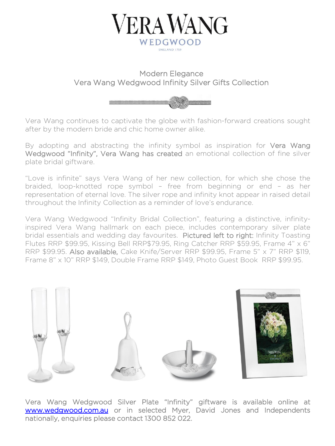

## Modern Elegance Vera Wang Wedgwood Infinity Silver Gifts Collection



Vera Wang continues to captivate the globe with fashion-forward creations sought after by the modern bride and chic home owner alike.

By adopting and abstracting the infinity symbol as inspiration for Vera Wang Wedgwood "Infinity", Vera Wang has created an emotional collection of fine silver plate bridal giftware.

"Love is infinite" says Vera Wang of her new collection, for which she chose the braided, loop-knotted rope symbol – free from beginning or end – as her representation of eternal love. The silver rope and infinity knot appear in raised detail throughout the Infinity Collection as a reminder of love's endurance.

Vera Wang Wedgwood "Infinity Bridal Collection", featuring a distinctive, infinityinspired Vera Wang hallmark on each piece, includes contemporary silver plate bridal essentials and wedding day favourites. Pictured left to right: Infinity Toasting Flutes RRP \$99.95, Kissing Bell RRP\$79.95, Ring Catcher RRP \$59.95, Frame 4" x 6" RRP \$99.95. Also available, Cake Knife/Server RRP \$99.95, Frame 5" x 7" RRP \$119, Frame 8" x 10" RRP \$149, Double Frame RRP \$149, Photo Guest Book RRP \$99.95.



Vera Wang Wedgwood Silver Plate "Infinity" giftware is available online at [www.wedgwood.com.au](http://www.wedgwood.com.au/) or in selected Myer, David Jones and Independents nationally, enquiries please contact 1300 852 022.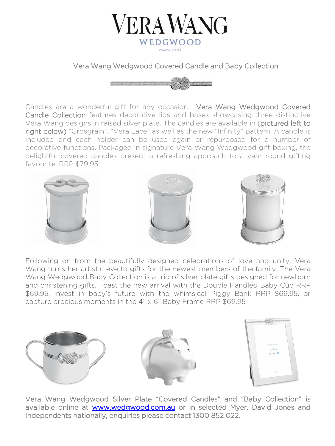

Vera Wang Wedgwood Covered Candle and Baby Collection



 favourite. RRP \$79.95. Candles are a wonderful gift for any occasion. Vera Wang Wedgwood Covered Candle Collection features decorative lids and bases showcasing three distinctive Vera Wang designs in raised silver plate. The candles are available in (pictured left to right below) "Grosgrain", "Vera Lace" as well as the new "Infinity" pattern. A candle is included and each holder can be used again or repurposed for a number of decorative functions. Packaged in signature Vera Wang Wedgwood gift boxing, the delightful covered candles present a refreshing approach to a year round gifting



Following on from the beautifully designed celebrations of love and unity, Vera Wang turns her artistic eye to gifts for the newest members of the family. The Vera Wang Wedgwood Baby Collection is a trio of silver plate gifts designed for newborn and christening gifts. Toast the new arrival with the Double Handled Baby Cup RRP \$69.95, invest in baby's future with the whimsical Piggy Bank RRP \$69.95, or capture precious moments in the 4" x 6" Baby Frame RRP \$69.95



Vera Wang Wedgwood Silver Plate "Covered Candles" and "Baby Collection" is available online at [www.wedgwood.com.au](http://www.wedgwood.com.au/) or in selected Myer, David Jones and Independents nationally, enquiries please contact 1300 852 022.